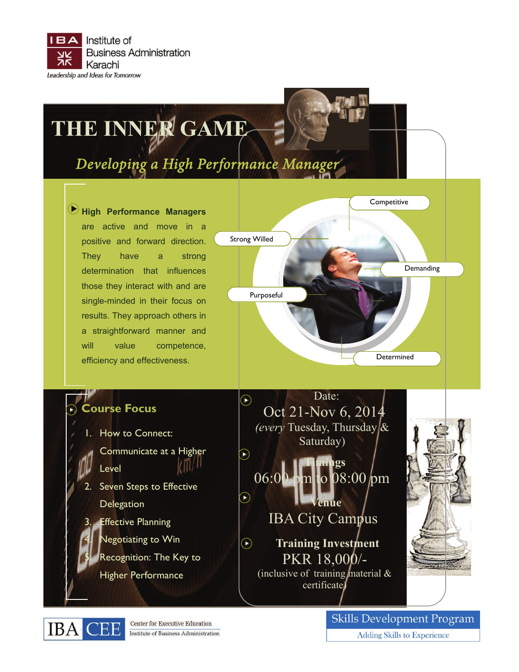

# **THE INNER GAME**

## Developing a High Performance Manager

**High Performance Managers**  are active and move in a positive and forward direction. They have a strong determination that influences those they interact with and are single-minded in their focus on results. They approach others in a straightforward manner and will value competence, efficiency and effectiveness.



### **Course Focus**

- How to Connect:
	- Communicate at a Higher Level
- Seven Steps to Effective

**Delegation** 

- **Effective Planning**
- **Negotiating to Win**
- Recognition: The Key to
- Higher Performance



**Timings**  06:00 pm to 08:00 pm **Venue**  IBA City Campus

 $\widehat{\mathbf{D}}$ 

 $\bigcirc$ **Training Investment** PKR 18,000/- (inclusive of training material  $\&$ certificate)





**Center for Executive Education** Institute of Business Administration **Skills Development Program Adding Skills to Experience**